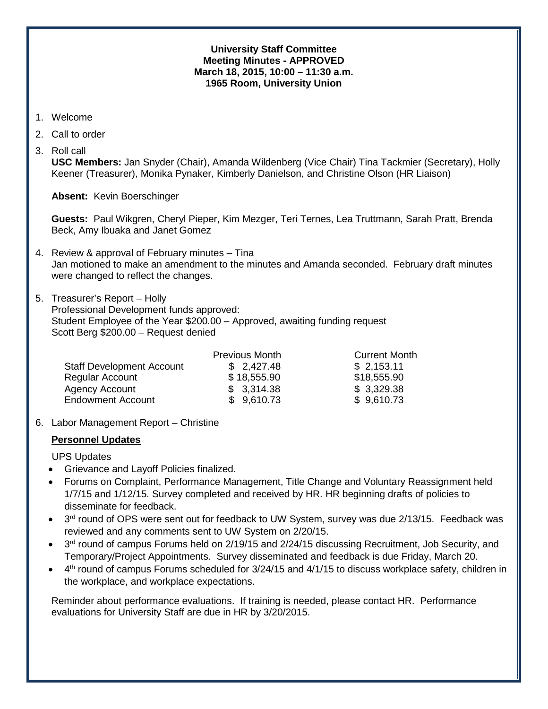#### **University Staff Committee Meeting Minutes - APPROVED March 18, 2015, 10:00 – 11:30 a.m. 1965 Room, University Union**

- 1. Welcome
- 2. Call to order
- 3. Roll call

**USC Members:** Jan Snyder (Chair), Amanda Wildenberg (Vice Chair) Tina Tackmier (Secretary), Holly Keener (Treasurer), Monika Pynaker, Kimberly Danielson, and Christine Olson (HR Liaison)

**Absent:** Kevin Boerschinger

 **Guests:** Paul Wikgren, Cheryl Pieper, Kim Mezger, Teri Ternes, Lea Truttmann, Sarah Pratt, Brenda Beck, Amy Ibuaka and Janet Gomez

- 4. Review & approval of February minutes Tina Jan motioned to make an amendment to the minutes and Amanda seconded. February draft minutes were changed to reflect the changes.
- 5. Treasurer's Report Holly Professional Development funds approved: Student Employee of the Year \$200.00 – Approved, awaiting funding request Scott Berg \$200.00 – Request denied

|                                  | <b>Previous Month</b> | <b>Current Month</b> |
|----------------------------------|-----------------------|----------------------|
| <b>Staff Development Account</b> | \$2,427.48            | \$2,153.11           |
| <b>Regular Account</b>           | \$18,555.90           | \$18,555.90          |
| <b>Agency Account</b>            | \$3,314.38            | \$3,329.38           |
| <b>Endowment Account</b>         | \$9,610.73            | \$9,610.73           |

6. Labor Management Report – Christine

#### **Personnel Updates**

UPS Updates

- Grievance and Layoff Policies finalized.
- Forums on Complaint, Performance Management, Title Change and Voluntary Reassignment held 1/7/15 and 1/12/15. Survey completed and received by HR. HR beginning drafts of policies to disseminate for feedback.
- $3<sup>rd</sup>$  round of OPS were sent out for feedback to UW System, survey was due 2/13/15. Feedback was reviewed and any comments sent to UW System on 2/20/15.
- $3<sup>rd</sup>$  round of campus Forums held on 2/19/15 and 2/24/15 discussing Recruitment, Job Security, and Temporary/Project Appointments. Survey disseminated and feedback is due Friday, March 20.
- 4th round of campus Forums scheduled for 3/24/15 and 4/1/15 to discuss workplace safety, children in the workplace, and workplace expectations.

 Reminder about performance evaluations. If training is needed, please contact HR. Performance evaluations for University Staff are due in HR by 3/20/2015.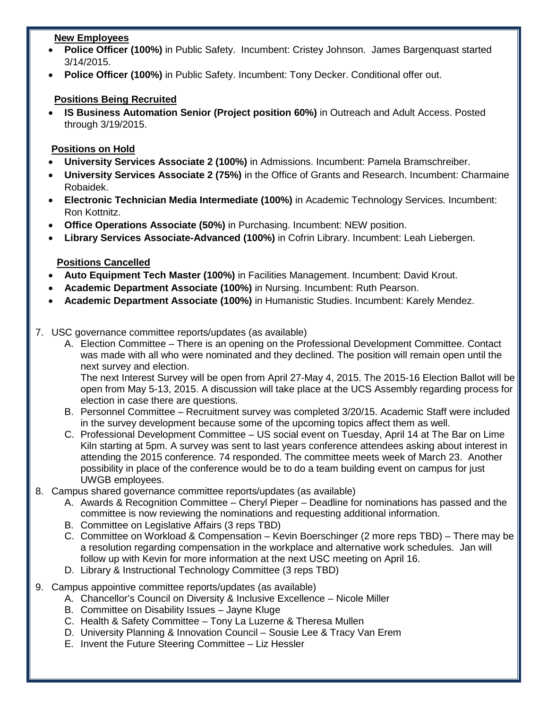### **New Employees**

- **Police Officer (100%)** in Public Safety. Incumbent: Cristey Johnson. James Bargenquast started 3/14/2015.
- **Police Officer (100%)** in Public Safety. Incumbent: Tony Decker. Conditional offer out.

## **Positions Being Recruited**

• **IS Business Automation Senior (Project position 60%)** in Outreach and Adult Access. Posted through 3/19/2015.

### **Positions on Hold**

- **University Services Associate 2 (100%)** in Admissions. Incumbent: Pamela Bramschreiber.
- **University Services Associate 2 (75%)** in the Office of Grants and Research. Incumbent: Charmaine Robaidek.
- **Electronic Technician Media Intermediate (100%)** in Academic Technology Services. Incumbent: Ron Kottnitz.
- **Office Operations Associate (50%)** in Purchasing. Incumbent: NEW position.
- **Library Services Associate-Advanced (100%)** in Cofrin Library. Incumbent: Leah Liebergen.

# **Positions Cancelled**

- **Auto Equipment Tech Master (100%)** in Facilities Management. Incumbent: David Krout.
- **Academic Department Associate (100%)** in Nursing. Incumbent: Ruth Pearson.
- **Academic Department Associate (100%)** in Humanistic Studies. Incumbent: Karely Mendez.
- 7. USC governance committee reports/updates (as available)
	- A. Election Committee There is an opening on the Professional Development Committee. Contact was made with all who were nominated and they declined. The position will remain open until the next survey and election.

The next Interest Survey will be open from April 27-May 4, 2015. The 2015-16 Election Ballot will be open from May 5-13, 2015. A discussion will take place at the UCS Assembly regarding process for election in case there are questions.

- B. Personnel Committee Recruitment survey was completed 3/20/15. Academic Staff were included in the survey development because some of the upcoming topics affect them as well.
- C. Professional Development Committee US social event on Tuesday, April 14 at The Bar on Lime Kiln starting at 5pm. A survey was sent to last years conference attendees asking about interest in attending the 2015 conference. 74 responded. The committee meets week of March 23. Another possibility in place of the conference would be to do a team building event on campus for just UWGB employees.
- 8. Campus shared governance committee reports/updates (as available)
	- A. Awards & Recognition Committee Cheryl Pieper Deadline for nominations has passed and the committee is now reviewing the nominations and requesting additional information.
	- B. Committee on Legislative Affairs (3 reps TBD)
	- C. Committee on Workload & Compensation Kevin Boerschinger (2 more reps TBD) There may be a resolution regarding compensation in the workplace and alternative work schedules. Jan will follow up with Kevin for more information at the next USC meeting on April 16.
	- D. Library & Instructional Technology Committee (3 reps TBD)
- 9. Campus appointive committee reports/updates (as available)
	- A. Chancellor's Council on Diversity & Inclusive Excellence Nicole Miller
	- B. Committee on Disability Issues Jayne Kluge
	- C. Health & Safety Committee Tony La Luzerne & Theresa Mullen
	- D. University Planning & Innovation Council Sousie Lee & Tracy Van Erem
	- E. Invent the Future Steering Committee Liz Hessler